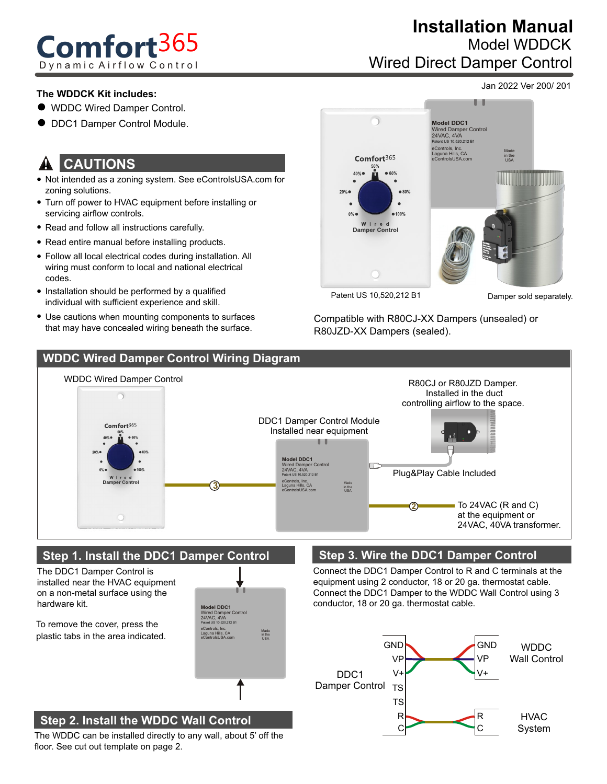# **Comfort**365 Dynamic Airflow Control

## Wired Direct Damper Control **Installation Manual** Model WDDCK

Jan 2022 Ver 200/ 201

#### **The WDDCK Kit includes:**

- WDDC Wired Damper Control.
- DDC1 Damper Control Module.

#### **CAUTIONS** !

- Not intended as a zoning system. See eControlsUSA.com for zoning solutions.
- Turn off power to HVAC equipment before installing or servicing airflow controls.
- Read and follow all instructions carefully.
- Read entire manual before installing products.
- Follow all local electrical codes during installation. All wiring must conform to local and national electrical codes.
- Installation should be performed by a qualified individual with sufficient experience and skill.
- Use cautions when mounting components to surfaces that may have concealed wiring beneath the surface.



Patent US 10,520,212 B1

Damper sold separately.

Compatible with R80CJ-XX Dampers (unsealed) or R80JZD-XX Dampers (sealed).



#### **Step 1. Install the DDC1 Damper Control**

The DDC1 Damper Control is installed near the HVAC equipment on a non-metal surface using the hardware kit.

To remove the cover, press the plastic tabs in the area indicated.



## **Step 2. Install the WDDC Wall Control**

The WDDC can be installed directly to any wall, about 5' off the floor. See cut out template on page 2.

#### **Step 3. Wire the DDC1 Damper Control**

Connect the DDC1 Damper Control to R and C terminals at the equipment using 2 conductor, 18 or 20 ga. thermostat cable. Connect the DDC1 Damper to the WDDC Wall Control using 3 conductor, 18 or 20 ga. thermostat cable.